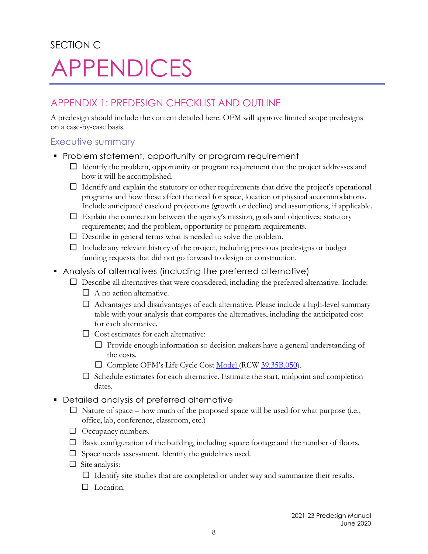## SECTION C APPENDICES

## APPENDIX 1: PREDESIGN CHECKLIST AND OUTLINE

A predesign should include the content detailed here. OFM will approve limited scope predesigns on a case-by-case basis.

## Executive summary

- **Problem statement, opportunity or program requirement** 
	- $\Box$  Identify the problem, opportunity or program requirement that the project addresses and how it will be accomplished.
	- $\Box$  Identify and explain the statutory or other requirements that drive the project's operational programs and how these affect the need for space, location or physical accommodations. Include anticipated caseload projections (growth or decline) and assumptions, if applicable.
	- $\Box$  Explain the connection between the agency's mission, goals and objectives; statutory requirements; and the problem, opportunity or program requirements.
	- $\Box$  Describe in general terms what is needed to solve the problem.
	- $\Box$  Include any relevant history of the project, including previous predesigns or budget funding requests that did not go forward to design or construction.
- Analysis of alternatives (including the preferred alternative)
	- $\Box$  Describe all alternatives that were considered, including the preferred alternative. Include:
		- $\Box$  A no action alternative.
		- $\Box$  Advantages and disadvantages of each alternative. Please include a high-level summary table with your analysis that compares the alternatives, including the anticipated cost for each alternative.
		- $\Box$  Cost estimates for each alternative:
			- $\Box$  Provide enough information so decision makers have a general understanding of the costs.
			- □ Complete [OFM's](http://ofm.wa.gov/budget/facilities/costanalysis.asp) Life Cycle Cost Model (RCW [39.35B.050\)](http://apps.leg.wa.gov/RCW/default.aspx?cite=39.35B.050).
		- $\Box$  Schedule estimates for each alternative. Estimate the start, midpoint and completion dates.
- Detailed analysis of preferred alternative
	- $\Box$  Nature of space how much of the proposed space will be used for what purpose (i.e., office, lab, conference, classroom, etc.)
	- □ Occupancy numbers.
	- □ Basic configuration of the building, including square footage and the number of floors.
	- $\Box$  Space needs assessment. Identify the guidelines used.
	- $\Box$  Site analysis:
		- $\Box$  Identify site studies that are completed or under way and summarize their results.
		- □ Location.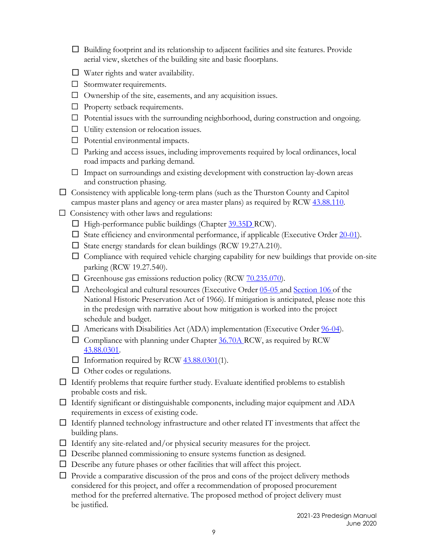- □ Building footprint and its relationship to adjacent facilities and site features. Provide aerial view, sketches of the building site and basic floorplans.
- □ Water rights and water availability.
- □ Stormwater requirements.
- $\Box$  Ownership of the site, easements, and any acquisition issues.
- □ Property setback requirements.
- $\Box$  Potential issues with the surrounding neighborhood, during construction and ongoing.
- $\Box$  Utility extension or relocation issues.
- $\Box$  Potential environmental impacts.
- $\Box$  Parking and access issues, including improvements required by local ordinances, local road impacts and parking demand.
- $\Box$  Impact on surroundings and existing development with construction lay-down areas and construction phasing.
- $\Box$  Consistency with applicable long-term plans (such as the Thurston County and Capitol campus master plans and agency or area master plans) as required by RCW 43.88.110.
- $\Box$  Consistency with other laws and regulations:
	- $\Box$  High-performance public buildings (Chapter 39.35D RCW).
	- $\Box$  State efficiency and environmental performance, if applicable (Executive Order  $20-01$ ).
	- □ State energy standards for clean buildings (RCW 19.27A.210).
	- $\Box$  Compliance with required vehicle charging capability for new buildings that provide on-site parking (RCW 19.27.540).
	- $\Box$  Greenhouse gas emissions reduction policy (RCW  $70.235.070$ ).
	- $\Box$  Archeological and cultural resources (Executive Order 05-05 and Section 106 of the National Historic Preservation Act of 1966). If mitigation is anticipated, please note this in the predesign with narrative about how mitigation is worked into the project schedule and budget.
	- $\Box$  Americans with Disabilities Act (ADA) implementation (Executive Order  $96-04$ ).
	- $\square$  Compliance with planning under Chapter 36.70A RCW, as required by RCW 43.88.0301.
	- $\Box$  Information required by RCW  $43.88.0301(1)$ .
	- $\Box$  Other codes or regulations.
- $\Box$  Identify problems that require further study. Evaluate identified problems to establish probable costs and risk.
- $\Box$  Identify significant or distinguishable components, including major equipment and ADA requirements in excess of existing code.
- $\Box$  Identify planned technology infrastructure and other related IT investments that affect the building plans.
- $\Box$  Identify any site-related and/or physical security measures for the project.
- □ Describe planned commissioning to ensure systems function as designed.
- $\Box$  Describe any future phases or other facilities that will affect this project.
- $\Box$  Provide a comparative discussion of the pros and cons of the project delivery methods considered for this project, and offer a recommendation of proposed procurement method for the preferred alternative. The proposed method of project delivery must be justified.